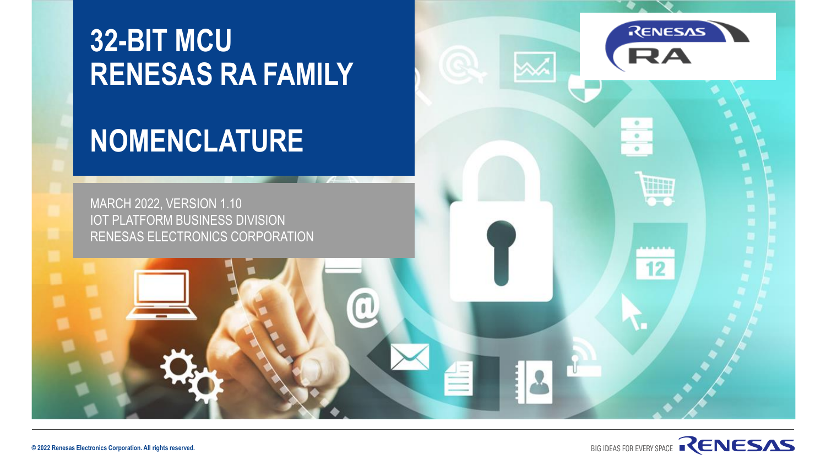## **32-BIT MCU RENESAS RA FAMILY**

# **NOMENCLATURE**



**RENESAS** 

٠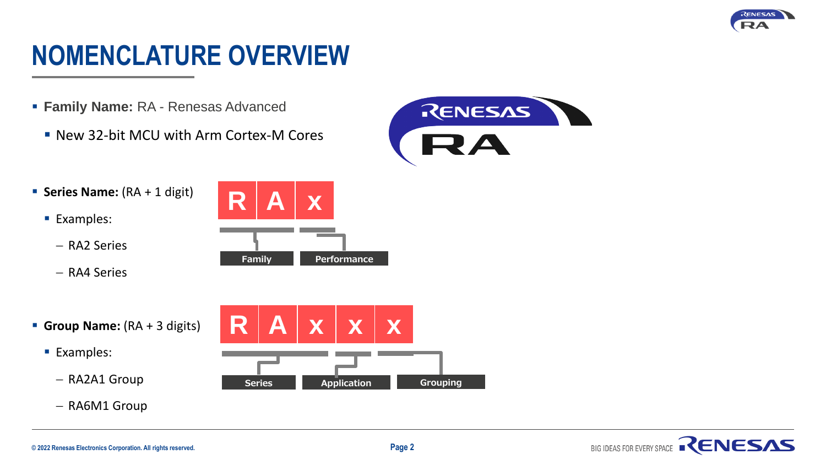

## **NOMENCLATURE OVERVIEW**

- **Family Name:** RA Renesas Advanced
	- New 32-bit MCU with Arm Cortex-M Cores



- **E** Series Name: (RA + 1 digit)
	- Examples:
		- − RA2 Series
		- − RA4 Series

**R A x Family Performance**

- **Group Name:** (RA + 3 digits)
	- Examples:
		- − RA2A1 Group
		- − RA6M1 Group



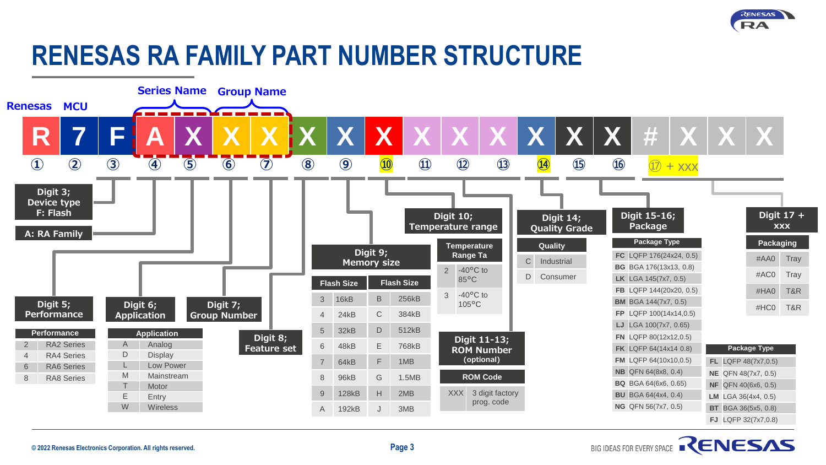

BIG IDEAS FOR EVERY SPACE RENESAS

## **RENESAS RA FAMILY PART NUMBER STRUCTURE**

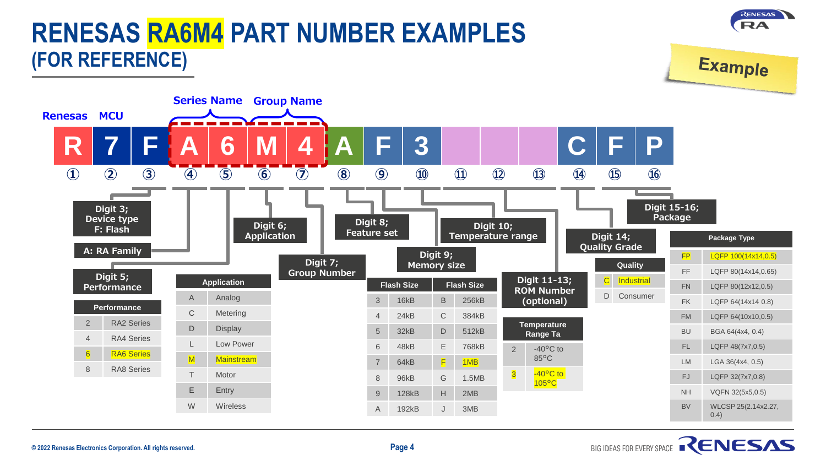

#### **© 2022 Renesas Electronics Corporation. All rights reserved. Page 4**

### BIG IDEAS FOR EVERY SPACE RENESAS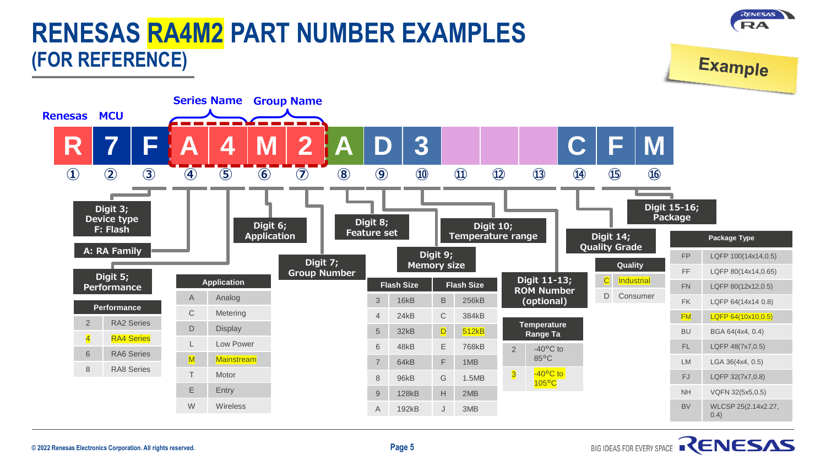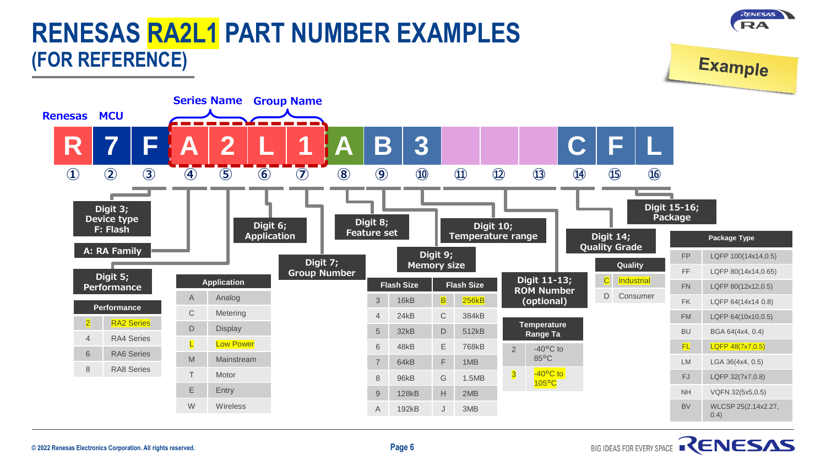

#### **© 2022 Renesas Electronics Corporation. All rights reserved. Page 6**

## BIG IDEAS FOR EVERY SPACE RENESAS